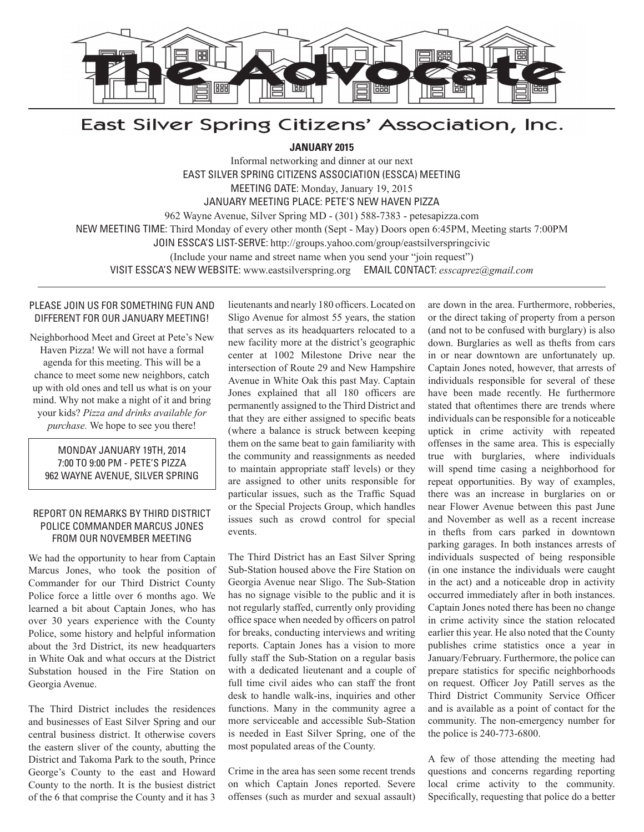

# East Silver Spring Citizens' Association, Inc.

**JANUARY 2015**

Informal networking and dinner at our next EAST SILVER SPRING CITIZENS ASSOCIATION (ESSCA) MEETING MEETING DATE: Monday, January 19, 2015 JANUARY MEETING PLACE: PETE'S NEW HAVEN PIZZA 962 Wayne Avenue, Silver Spring MD - (301) 588-7383 - petesapizza.com NEW MEETING TIME: Third Monday of every other month (Sept - May) Doors open 6:45PM, Meeting starts 7:00PM JOIN ESSCA'S LIST-SERVE: http://groups.yahoo.com/group/eastsilverspringcivic (Include your name and street name when you send your "join request") VISIT ESSCA'S NEW WEBSITE: www.eastsilverspring.org EMAIL CONTACT: *esscaprez@gmail.com*

## PLEASE JOIN US FOR SOMETHING FUN AND DIFFERENT FOR OUR JANUARY MEETING!

Neighborhood Meet and Greet at Pete's New Haven Pizza! We will not have a formal agenda for this meeting. This will be a chance to meet some new neighbors, catch up with old ones and tell us what is on your mind. Why not make a night of it and bring your kids? *Pizza and drinks available for purchase.* We hope to see you there!

## MONDAY JANUARY 19TH, 2014 7:00 TO 9:00 PM - PETE'S PIZZA 962 WAYNE AVENUE, SILVER SPRING

## REPORT ON REMARKS BY THIRD DISTRICT POLICE COMMANDER MARCUS JONES FROM OUR NOVEMBER MEETING

 $\overline{a}$ 

We had the opportunity to hear from Captain Marcus Jones, who took the position of Commander for our Third District County Police force a little over 6 months ago. We learned a bit about Captain Jones, who has over 30 years experience with the County Police, some history and helpful information about the 3rd District, its new headquarters in White Oak and what occurs at the District Substation housed in the Fire Station on Georgia Avenue.

The Third District includes the residences and businesses of East Silver Spring and our central business district. It otherwise covers the eastern sliver of the county, abutting the District and Takoma Park to the south, Prince George's County to the east and Howard County to the north. It is the busiest district of the 6 that comprise the County and it has 3

lieutenants and nearly 180 officers. Located on Sligo Avenue for almost 55 years, the station that serves as its headquarters relocated to a new facility more at the district's geographic center at 1002 Milestone Drive near the intersection of Route 29 and New Hampshire Avenue in White Oak this past May. Captain Jones explained that all 180 officers are permanently assigned to the Third District and that they are either assigned to specific beats (where a balance is struck between keeping them on the same beat to gain familiarity with the community and reassignments as needed to maintain appropriate staff levels) or they are assigned to other units responsible for particular issues, such as the Traffic Squad or the Special Projects Group, which handles issues such as crowd control for special events.

The Third District has an East Silver Spring Sub-Station housed above the Fire Station on Georgia Avenue near Sligo. The Sub-Station has no signage visible to the public and it is not regularly staffed, currently only providing office space when needed by officers on patrol for breaks, conducting interviews and writing reports. Captain Jones has a vision to more fully staff the Sub-Station on a regular basis with a dedicated lieutenant and a couple of full time civil aides who can staff the front desk to handle walk-ins, inquiries and other functions. Many in the community agree a more serviceable and accessible Sub-Station is needed in East Silver Spring, one of the most populated areas of the County.

Crime in the area has seen some recent trends on which Captain Jones reported. Severe offenses (such as murder and sexual assault) are down in the area. Furthermore, robberies, or the direct taking of property from a person (and not to be confused with burglary) is also down. Burglaries as well as thefts from cars in or near downtown are unfortunately up. Captain Jones noted, however, that arrests of individuals responsible for several of these have been made recently. He furthermore stated that oftentimes there are trends where individuals can be responsible for a noticeable uptick in crime activity with repeated offenses in the same area. This is especially true with burglaries, where individuals will spend time casing a neighborhood for repeat opportunities. By way of examples, there was an increase in burglaries on or near Flower Avenue between this past June and November as well as a recent increase in thefts from cars parked in downtown parking garages. In both instances arrests of individuals suspected of being responsible (in one instance the individuals were caught in the act) and a noticeable drop in activity occurred immediately after in both instances. Captain Jones noted there has been no change in crime activity since the station relocated earlier this year. He also noted that the County publishes crime statistics once a year in January/February. Furthermore, the police can prepare statistics for specific neighborhoods on request. Officer Joy Patill serves as the Third District Community Service Officer and is available as a point of contact for the community. The non-emergency number for the police is 240-773-6800.

A few of those attending the meeting had questions and concerns regarding reporting local crime activity to the community. Specifically, requesting that police do a better